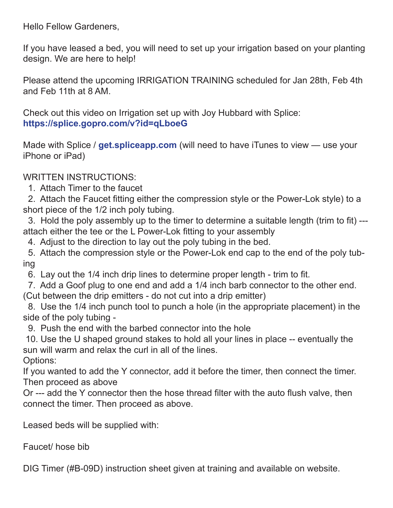Hello Fellow Gardeners,

If you have leased a bed, you will need to set up your irrigation based on your planting design. We are here to help!

Please attend the upcoming IRRIGATION TRAINING scheduled for Jan 28th, Feb 4th and Feb 11th at 8 AM.

Check out this video on Irrigation set up with Joy Hubbard with Splice: **https://splice.gopro.com/v?id=qLboeG**

Made with Splice / **get.spliceapp.com** (will need to have iTunes to view — use your iPhone or iPad)

WRITTEN INSTRUCTIONS:

1. Attach Timer to the faucet

 2. Attach the Faucet fitting either the compression style or the Power-Lok style) to a short piece of the 1/2 inch poly tubing.

 3. Hold the poly assembly up to the timer to determine a suitable length (trim to fit) -- attach either the tee or the L Power-Lok fitting to your assembly

4. Adjust to the direction to lay out the poly tubing in the bed.

 5. Attach the compression style or the Power-Lok end cap to the end of the poly tubing

6. Lay out the 1/4 inch drip lines to determine proper length - trim to fit.

 7. Add a Goof plug to one end and add a 1/4 inch barb connector to the other end. (Cut between the drip emitters - do not cut into a drip emitter)

 8. Use the 1/4 inch punch tool to punch a hole (in the appropriate placement) in the side of the poly tubing -

9. Push the end with the barbed connector into the hole

 10. Use the U shaped ground stakes to hold all your lines in place -- eventually the sun will warm and relax the curl in all of the lines.

Options:

If you wanted to add the Y connector, add it before the timer, then connect the timer. Then proceed as above

Or --- add the Y connector then the hose thread filter with the auto flush valve, then connect the timer. Then proceed as above.

Leased beds will be supplied with:

Faucet/ hose bib

DIG Timer (#B-09D) instruction sheet given at training and available on website.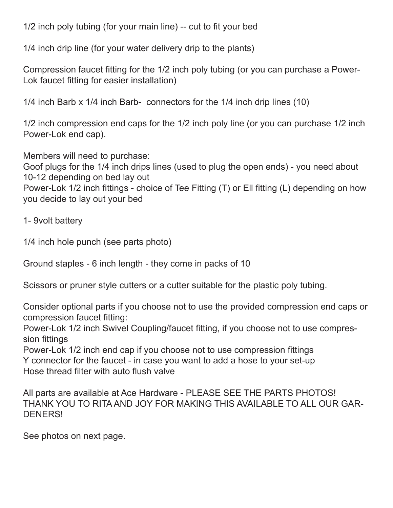1/2 inch poly tubing (for your main line) -- cut to fit your bed

1/4 inch drip line (for your water delivery drip to the plants)

Compression faucet fitting for the 1/2 inch poly tubing (or you can purchase a Power-Lok faucet fitting for easier installation)

1/4 inch Barb x 1/4 inch Barb- connectors for the 1/4 inch drip lines (10)

1/2 inch compression end caps for the 1/2 inch poly line (or you can purchase 1/2 inch Power-Lok end cap).

Members will need to purchase:

Goof plugs for the 1/4 inch drips lines (used to plug the open ends) - you need about 10-12 depending on bed lay out

Power-Lok 1/2 inch fittings - choice of Tee Fitting (T) or Ell fitting (L) depending on how you decide to lay out your bed

1- 9volt battery

1/4 inch hole punch (see parts photo)

Ground staples - 6 inch length - they come in packs of 10

Scissors or pruner style cutters or a cutter suitable for the plastic poly tubing.

Consider optional parts if you choose not to use the provided compression end caps or compression faucet fitting:

Power-Lok 1/2 inch Swivel Coupling/faucet fitting, if you choose not to use compression fittings

Power-Lok 1/2 inch end cap if you choose not to use compression fittings Y connector for the faucet - in case you want to add a hose to your set-up Hose thread filter with auto flush valve

All parts are available at Ace Hardware - PLEASE SEE THE PARTS PHOTOS! THANK YOU TO RITA AND JOY FOR MAKING THIS AVAILABLE TO ALL OUR GAR-DENERS!

See photos on next page.